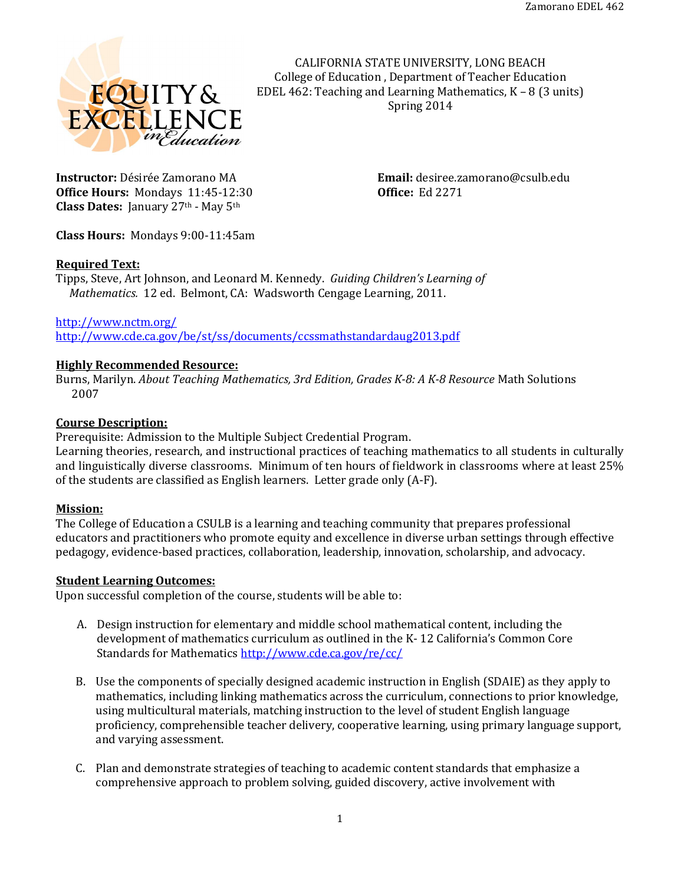

 CALIFORNIA STATE UNIVERSITY, LONG BEACH College of Education , Department of Teacher Education EDEL 462: Teaching and Learning Mathematics, K – 8 (3 units) Spring 2014

Office Hours: Mondays 11:45-12:30 **Office: Ed 2271** Class Dates: January 27th - May 5th

Instructor: Désirée Zamorano MA Email: desiree.zamorano@csulb.edu

Class Hours: Mondays 9:00-11:45am

### Required Text:

Tipps, Steve, Art Johnson, and Leonard M. Kennedy. Guiding Children's Learning of Mathematics. 12 ed. Belmont, CA: Wadsworth Cengage Learning, 2011.

http://www.nctm.org/ http://www.cde.ca.gov/be/st/ss/documents/ccssmathstandardaug2013.pdf

### Highly Recommended Resource:

Burns, Marilyn. About Teaching Mathematics, 3rd Edition, Grades K-8: A K-8 Resource Math Solutions 2007

### Course Description:

Prerequisite: Admission to the Multiple Subject Credential Program.

Learning theories, research, and instructional practices of teaching mathematics to all students in culturally and linguistically diverse classrooms. Minimum of ten hours of fieldwork in classrooms where at least 25% of the students are classified as English learners. Letter grade only (A-F).

# Mission:

The College of Education a CSULB is a learning and teaching community that prepares professional educators and practitioners who promote equity and excellence in diverse urban settings through effective pedagogy, evidence-based practices, collaboration, leadership, innovation, scholarship, and advocacy.

### Student Learning Outcomes:

Upon successful completion of the course, students will be able to:

- A. Design instruction for elementary and middle school mathematical content, including the development of mathematics curriculum as outlined in the K- 12 California's Common Core Standards for Mathematics http://www.cde.ca.gov/re/cc/
- B. Use the components of specially designed academic instruction in English (SDAIE) as they apply to mathematics, including linking mathematics across the curriculum, connections to prior knowledge, using multicultural materials, matching instruction to the level of student English language proficiency, comprehensible teacher delivery, cooperative learning, using primary language support, and varying assessment.
- C. Plan and demonstrate strategies of teaching to academic content standards that emphasize a comprehensive approach to problem solving, guided discovery, active involvement with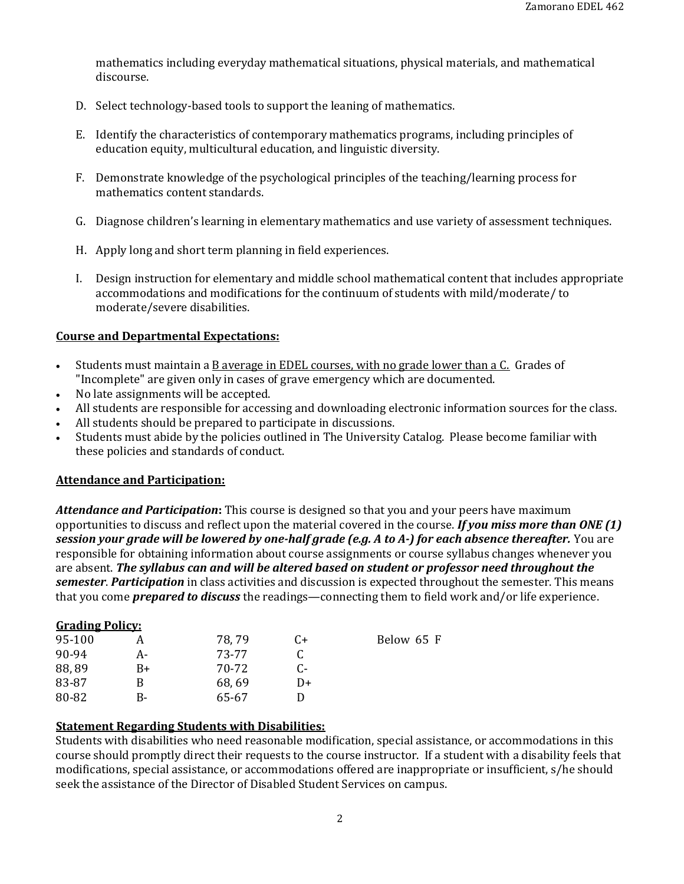mathematics including everyday mathematical situations, physical materials, and mathematical discourse.

- D. Select technology-based tools to support the leaning of mathematics.
- E. Identify the characteristics of contemporary mathematics programs, including principles of education equity, multicultural education, and linguistic diversity.
- F. Demonstrate knowledge of the psychological principles of the teaching/learning process for mathematics content standards.
- G. Diagnose children's learning in elementary mathematics and use variety of assessment techniques.
- H. Apply long and short term planning in field experiences.
- I. Design instruction for elementary and middle school mathematical content that includes appropriate accommodations and modifications for the continuum of students with mild/moderate/ to moderate/severe disabilities.

### Course and Departmental Expectations:

- Students must maintain a B average in EDEL courses, with no grade lower than a C. Grades of "Incomplete" are given only in cases of grave emergency which are documented.
- No late assignments will be accepted.
- All students are responsible for accessing and downloading electronic information sources for the class.
- All students should be prepared to participate in discussions.
- Students must abide by the policies outlined in The University Catalog. Please become familiar with these policies and standards of conduct.

### Attendance and Participation:

Attendance and Participation: This course is designed so that you and your peers have maximum opportunities to discuss and reflect upon the material covered in the course. If you miss more than ONE  $(1)$ session your grade will be lowered by one-half grade (e.g. A to A-) for each absence thereafter. You are responsible for obtaining information about course assignments or course syllabus changes whenever you are absent. The syllabus can and will be altered based on student or professor need throughout the semester. Participation in class activities and discussion is expected throughout the semester. This means that you come **prepared to discuss** the readings—connecting them to field work and/or life experience.

| <b>Grading Policy:</b> |    |       |    |            |
|------------------------|----|-------|----|------------|
| 95-100                 |    | 78,79 | C+ | Below 65 F |
| 90-94                  | А- | 73-77 |    |            |
| 88,89                  | B+ | 70-72 | C- |            |
| 83-87                  | В  | 68,69 | D+ |            |
| 80-82                  | В- | 65-67 |    |            |

# Statement Regarding Students with Disabilities:

Students with disabilities who need reasonable modification, special assistance, or accommodations in this course should promptly direct their requests to the course instructor. If a student with a disability feels that modifications, special assistance, or accommodations offered are inappropriate or insufficient, s/he should seek the assistance of the Director of Disabled Student Services on campus.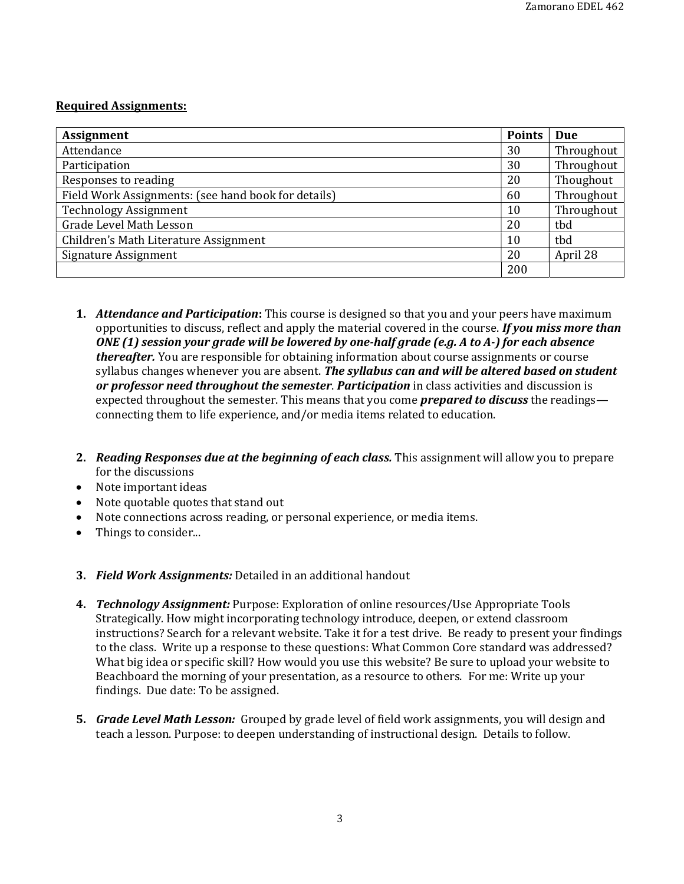## Required Assignments:

| <b>Assignment</b>                                   |     | <b>Due</b> |
|-----------------------------------------------------|-----|------------|
| Attendance                                          |     | Throughout |
| Participation                                       |     | Throughout |
| Responses to reading                                |     | Thoughout  |
| Field Work Assignments: (see hand book for details) |     | Throughout |
| <b>Technology Assignment</b>                        |     | Throughout |
| Grade Level Math Lesson                             |     | tbd        |
| Children's Math Literature Assignment               |     | tbd        |
| Signature Assignment                                |     | April 28   |
|                                                     | 200 |            |

- **1.** Attendance and Participation: This course is designed so that you and your peers have maximum opportunities to discuss, reflect and apply the material covered in the course. If you miss more than ONE (1) session your grade will be lowered by one-half grade (e.g. A to A-) for each absence *thereafter.* You are responsible for obtaining information about course assignments or course syllabus changes whenever you are absent. The syllabus can and will be altered based on student or professor need throughout the semester. Participation in class activities and discussion is expected throughout the semester. This means that you come *prepared to discuss* the readingsconnecting them to life experience, and/or media items related to education.
- 2. Reading Responses due at the beginning of each class. This assignment will allow you to prepare for the discussions
- Note important ideas
- Note quotable quotes that stand out
- Note connections across reading, or personal experience, or media items.
- Things to consider...
- 3. Field Work Assignments: Detailed in an additional handout
- 4. Technology Assignment: Purpose: Exploration of online resources/Use Appropriate Tools Strategically. How might incorporating technology introduce, deepen, or extend classroom instructions? Search for a relevant website. Take it for a test drive. Be ready to present your findings to the class. Write up a response to these questions: What Common Core standard was addressed? What big idea or specific skill? How would you use this website? Be sure to upload your website to Beachboard the morning of your presentation, as a resource to others. For me: Write up your findings. Due date: To be assigned.
- 5. Grade Level Math Lesson: Grouped by grade level of field work assignments, you will design and teach a lesson. Purpose: to deepen understanding of instructional design. Details to follow.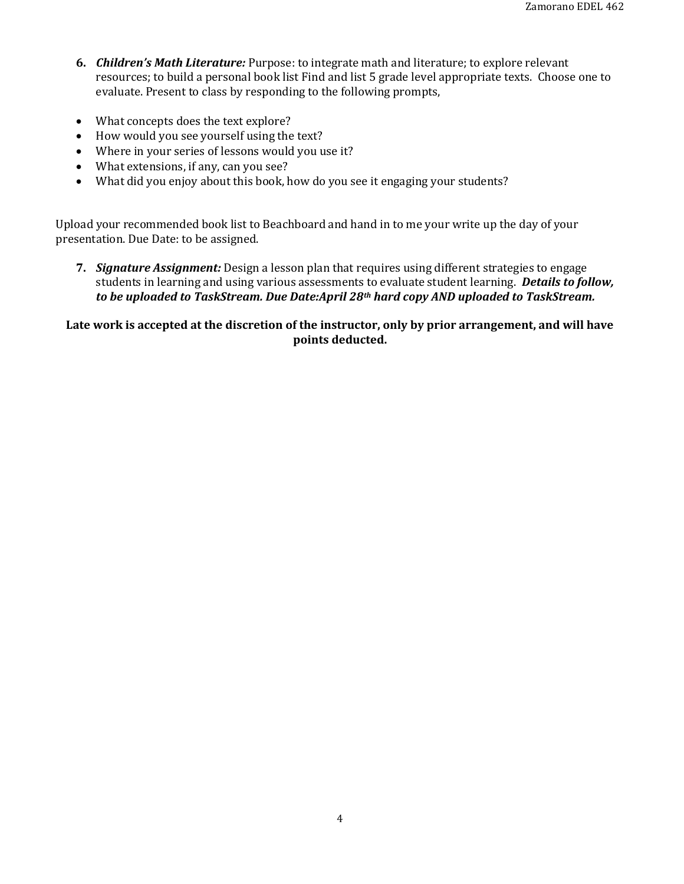- 6. *Children's Math Literature:* Purpose: to integrate math and literature; to explore relevant resources; to build a personal book list Find and list 5 grade level appropriate texts. Choose one to evaluate. Present to class by responding to the following prompts,
- What concepts does the text explore?
- How would you see yourself using the text?
- Where in your series of lessons would you use it?
- What extensions, if any, can you see?
- What did you enjoy about this book, how do you see it engaging your students?

Upload your recommended book list to Beachboard and hand in to me your write up the day of your presentation. Due Date: to be assigned.

7. Signature Assignment: Design a lesson plan that requires using different strategies to engage students in learning and using various assessments to evaluate student learning. Details to follow, to be uploaded to TaskStream. Due Date:April 28<sup>th</sup> hard copy AND uploaded to TaskStream.

## Late work is accepted at the discretion of the instructor, only by prior arrangement, and will have points deducted.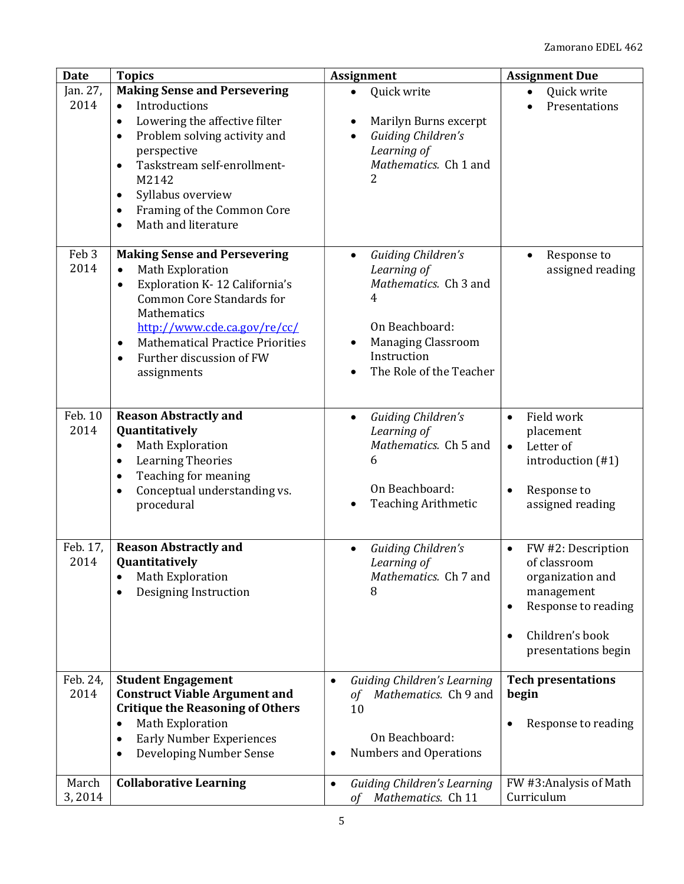| <b>Date</b>              | <b>Topics</b>                                                                                                                                                                                                                                                                                                                                     | <b>Assignment</b>                                                                                                                                                     | <b>Assignment Due</b>                                                                                                                                           |  |
|--------------------------|---------------------------------------------------------------------------------------------------------------------------------------------------------------------------------------------------------------------------------------------------------------------------------------------------------------------------------------------------|-----------------------------------------------------------------------------------------------------------------------------------------------------------------------|-----------------------------------------------------------------------------------------------------------------------------------------------------------------|--|
| Jan. 27,<br>2014         | <b>Making Sense and Persevering</b><br>Introductions<br>$\bullet$<br>Lowering the affective filter<br>$\bullet$<br>Problem solving activity and<br>$\bullet$<br>perspective<br>Taskstream self-enrollment-<br>$\bullet$<br>M2142<br>Syllabus overview<br>$\bullet$<br>Framing of the Common Core<br>$\bullet$<br>Math and literature<br>$\bullet$ | Quick write<br>Marilyn Burns excerpt<br>$\bullet$<br>Guiding Children's<br>$\bullet$<br>Learning of<br>Mathematics. Ch 1 and<br>2                                     | Quick write<br>$\bullet$<br>Presentations                                                                                                                       |  |
| Feb <sub>3</sub><br>2014 | <b>Making Sense and Persevering</b><br>Math Exploration<br>$\bullet$<br>Exploration K-12 California's<br>$\bullet$<br><b>Common Core Standards for</b><br>Mathematics<br>http://www.cde.ca.gov/re/cc/<br><b>Mathematical Practice Priorities</b><br>$\bullet$<br>Further discussion of FW<br>$\bullet$<br>assignments                             | Guiding Children's<br>$\bullet$<br>Learning of<br>Mathematics. Ch 3 and<br>4<br>On Beachboard:<br><b>Managing Classroom</b><br>Instruction<br>The Role of the Teacher | Response to<br>$\bullet$<br>assigned reading                                                                                                                    |  |
| Feb. 10<br>2014          | <b>Reason Abstractly and</b><br>Quantitatively<br>Math Exploration<br>$\bullet$<br><b>Learning Theories</b><br>$\bullet$<br>Teaching for meaning<br>$\bullet$<br>Conceptual understanding vs.<br>٠<br>procedural                                                                                                                                  | <b>Guiding Children's</b><br>$\bullet$<br>Learning of<br>Mathematics. Ch 5 and<br>6<br>On Beachboard:<br><b>Teaching Arithmetic</b>                                   | Field work<br>$\bullet$<br>placement<br>Letter of<br>$\bullet$<br>introduction (#1)<br>Response to<br>assigned reading                                          |  |
| Feb. 17,<br>2014         | <b>Reason Abstractly and</b><br>Quantitatively<br><b>Math Exploration</b><br>Designing Instruction                                                                                                                                                                                                                                                | <b>Guiding Children's</b><br>Learning of<br>Mathematics. Ch 7 and<br>8                                                                                                | FW #2: Description<br>$\bullet$<br>of classroom<br>organization and<br>management<br>Response to reading<br>$\bullet$<br>Children's book<br>presentations begin |  |
| Feb. 24,<br>2014         | <b>Student Engagement</b><br><b>Construct Viable Argument and</b><br><b>Critique the Reasoning of Others</b><br><b>Math Exploration</b><br><b>Early Number Experiences</b><br>$\bullet$<br>Developing Number Sense<br>$\bullet$                                                                                                                   | <b>Guiding Children's Learning</b><br>$\bullet$<br>Mathematics. Ch 9 and<br>οf<br>10<br>On Beachboard:<br><b>Numbers and Operations</b><br>$\bullet$                  | <b>Tech presentations</b><br>begin<br>Response to reading                                                                                                       |  |
| March<br>3,2014          | <b>Collaborative Learning</b>                                                                                                                                                                                                                                                                                                                     | Guiding Children's Learning<br>$\bullet$<br>Mathematics. Ch 11<br>οf                                                                                                  | FW #3:Analysis of Math<br>Curriculum                                                                                                                            |  |